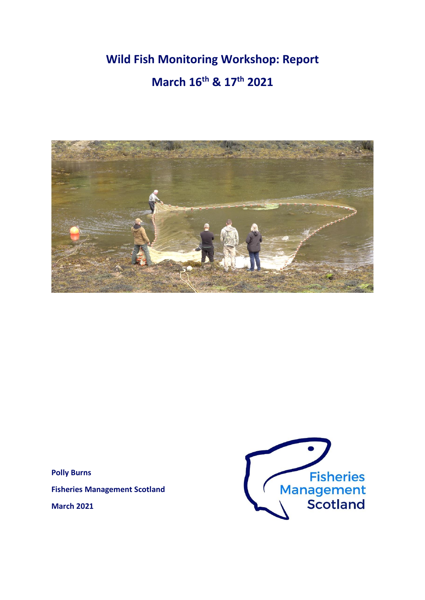# **Wild Fish Monitoring Workshop: Report March 16th & 17th 2021**



**Polly Burns**

**Fisheries Management Scotland**

**March 2021**

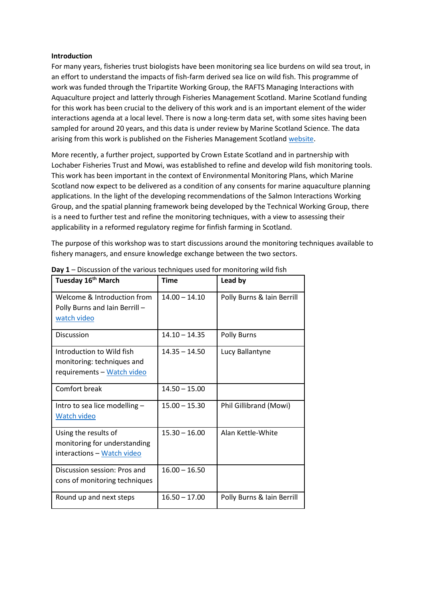### **Introduction**

For many years, fisheries trust biologists have been monitoring sea lice burdens on wild sea trout, in an effort to understand the impacts of fish-farm derived sea lice on wild fish. This programme of work was funded through the Tripartite Working Group, the RAFTS Managing Interactions with Aquaculture project and latterly through Fisheries Management Scotland. Marine Scotland funding for this work has been crucial to the delivery of this work and is an important element of the wider interactions agenda at a local level. There is now a long-term data set, with some sites having been sampled for around 20 years, and this data is under review by Marine Scotland Science. The data arising from this work is published on the Fisheries Management Scotland [website.](http://fms.scot/salmon-farming/)

More recently, a further project, supported by Crown Estate Scotland and in partnership with Lochaber Fisheries Trust and Mowi, was established to refine and develop wild fish monitoring tools. This work has been important in the context of Environmental Monitoring Plans, which Marine Scotland now expect to be delivered as a condition of any consents for marine aquaculture planning applications. In the light of the developing recommendations of the Salmon Interactions Working Group, and the spatial planning framework being developed by the Technical Working Group, there is a need to further test and refine the monitoring techniques, with a view to assessing their applicability in a reformed regulatory regime for finfish farming in Scotland.

The purpose of this workshop was to start discussions around the monitoring techniques available to fishery managers, and ensure knowledge exchange between the two sectors.

| Tuesday 16 <sup>th</sup> March                                                        | <b>Time</b>     | Lead by                    |
|---------------------------------------------------------------------------------------|-----------------|----------------------------|
| Welcome & Introduction from<br>Polly Burns and Iain Berrill-<br>watch video           | $14.00 - 14.10$ | Polly Burns & Iain Berrill |
| <b>Discussion</b>                                                                     | $14.10 - 14.35$ | Polly Burns                |
| Introduction to Wild fish<br>monitoring: techniques and<br>requirements - Watch video | $14.35 - 14.50$ | Lucy Ballantyne            |
| Comfort break                                                                         | $14.50 - 15.00$ |                            |
| Intro to sea lice modelling -<br>Watch video                                          | $15.00 - 15.30$ | Phil Gillibrand (Mowi)     |
| Using the results of<br>monitoring for understanding<br>interactions - Watch video    | $15.30 - 16.00$ | Alan Kettle-White          |
| Discussion session: Pros and<br>cons of monitoring techniques                         | $16.00 - 16.50$ |                            |
| Round up and next steps                                                               | $16.50 - 17.00$ | Polly Burns & Iain Berrill |

**Day 1** – Discussion of the various techniques used for monitoring wild fish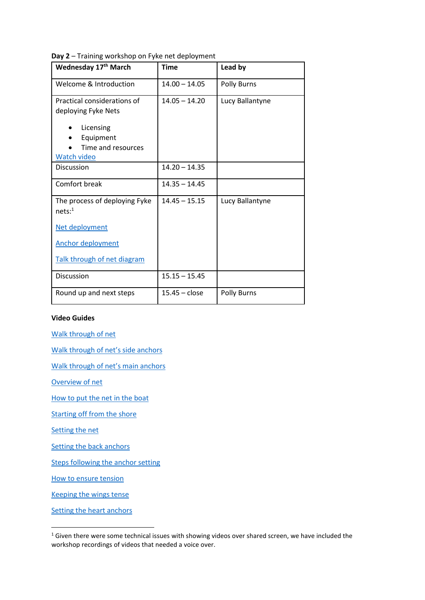**Day 2** – Training workshop on Fyke net deployment

| Wednesday 17th March                                                                                              | <b>Time</b>     | Lead by            |
|-------------------------------------------------------------------------------------------------------------------|-----------------|--------------------|
| Welcome & Introduction                                                                                            | $14.00 - 14.05$ | <b>Polly Burns</b> |
| Practical considerations of<br>deploying Fyke Nets<br>Licensing<br>Equipment<br>Time and resources<br>Watch video | $14.05 - 14.20$ | Lucy Ballantyne    |
| Discussion                                                                                                        | $14.20 - 14.35$ |                    |
| Comfort break                                                                                                     | $14.35 - 14.45$ |                    |
| The process of deploying Fyke<br>$nets$ : <sup>1</sup>                                                            | $14.45 - 15.15$ | Lucy Ballantyne    |
| Net deployment                                                                                                    |                 |                    |
| <b>Anchor deployment</b>                                                                                          |                 |                    |
| Talk through of net diagram                                                                                       |                 |                    |
| <b>Discussion</b>                                                                                                 | $15.15 - 15.45$ |                    |
| Round up and next steps                                                                                           | $15.45 - close$ | Polly Burns        |

#### **Video Guides**

[Walk through of net](https://youtu.be/5cpaPHnhf44)

[Walk through of net](https://youtu.be/T2Lz4PTeYU4)'s side anchors

[Walk through of net](https://youtu.be/jQO7I7YXCXU)'s main anchors

[Overview of net](https://youtu.be/009qqpSlJxo)

[How to put the net in the boat](https://youtu.be/B6Eg8ekSBhU)

[Starting off from the shore](https://youtu.be/psjFflZsfMM)

[Setting the net](https://youtu.be/ejN3UBwMa1U)

[Setting the back anchors](https://youtu.be/EtbNW9XdrTk)

[Steps following the anchor setting](https://youtu.be/eYaEuWaYGtM)

[How to ensure tension](https://youtu.be/I6LOqDLqpFo)

[Keeping the wings tense](https://youtu.be/UqlhLeNt8TU)

[Setting the heart anchors](https://youtu.be/XJYG91kMmrg)

<sup>&</sup>lt;sup>1</sup> Given there were some technical issues with showing videos over shared screen, we have included the workshop recordings of videos that needed a voice over.